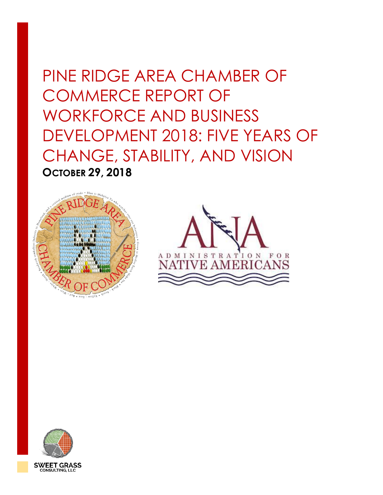# PINE RIDGE AREA CHAMBER OF COMMERCE REPORT OF WORKFORCE AND BUSINESS DEVELOPMENT 2018: FIVE YEARS OF CHANGE, STABILITY, AND VISION **OCTOBER 29, 2018**





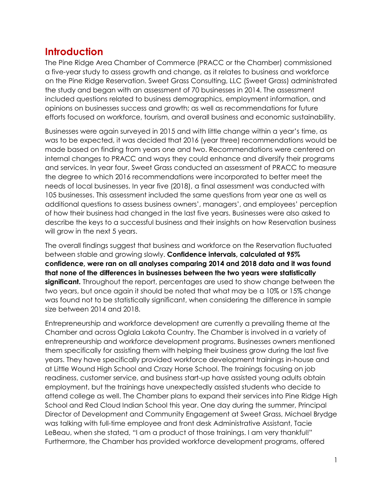#### **Introduction**

The Pine Ridge Area Chamber of Commerce (PRACC or the Chamber) commissioned a five-year study to assess growth and change, as it relates to business and workforce on the Pine Ridge Reservation. Sweet Grass Consulting, LLC (Sweet Grass) administrated the study and began with an assessment of 70 businesses in 2014. The assessment included questions related to business demographics, employment information, and opinions on businesses success and growth; as well as recommendations for future efforts focused on workforce, tourism, and overall business and economic sustainability.

Businesses were again surveyed in 2015 and with little change within a year's time, as was to be expected, it was decided that 2016 (year three) recommendations would be made based on finding from years one and two. Recommendations were centered on internal changes to PRACC and ways they could enhance and diversify their programs and services. In year four, Sweet Grass conducted an assessment of PRACC to measure the degree to which 2016 recommendations were incorporated to better meet the needs of local businesses. In year five (2018), a final assessment was conducted with 105 businesses. This assessment included the same questions from year one as well as additional questions to assess business owners', managers', and employees' perception of how their business had changed in the last five years. Businesses were also asked to describe the keys to a successful business and their insights on how Reservation business will grow in the next 5 years.

The overall findings suggest that business and workforce on the Reservation fluctuated between stable and growing slowly. **Confidence intervals, calculated at 95% confidence, were ran on all analyses comparing 2014 and 2018 data and it was found that none of the differences in businesses between the two years were statistically significant.** Throughout the report, percentages are used to show change between the two years, but once again it should be noted that what may be a 10% or 15% change was found not to be statistically significant, when considering the difference in sample size between 2014 and 2018.

Entrepreneurship and workforce development are currently a prevailing theme at the Chamber and across Oglala Lakota Country. The Chamber is involved in a variety of entrepreneurship and workforce development programs. Businesses owners mentioned them specifically for assisting them with helping their business grow during the last five years. They have specifically provided workforce development trainings in-house and at Little Wound High School and Crazy Horse School. The trainings focusing on job readiness, customer service, and business start-up have assisted young adults obtain employment, but the trainings have unexpectedly assisted students who decide to attend college as well. The Chamber plans to expand their services into Pine Ridge High School and Red Cloud Indian School this year. One day during the summer, Principal Director of Development and Community Engagement at Sweet Grass, Michael Brydge was talking with full-time employee and front desk Administrative Assistant, Tacie LeBeau, when she stated, "I am a product of those trainings. I am very thankful!" Furthermore, the Chamber has provided workforce development programs, offered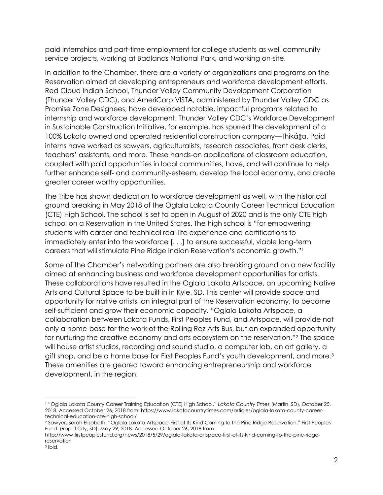paid internships and part-time employment for college students as well community service projects, working at Badlands National Park, and working on-site.

In addition to the Chamber, there are a variety of organizations and programs on the Reservation aimed at developing entrepreneurs and workforce development efforts. Red Cloud Indian School, Thunder Valley Community Development Corporation (Thunder Valley CDC), and AmeriCorp VISTA, administered by Thunder Valley CDC as Promise Zone Designees, have developed notable, impactful programs related to internship and workforce development. Thunder Valley CDC's Workforce Development in Sustainable Construction Initiative, for example, has spurred the development of a 100% Lakota owned and operated residential construction company—Thikáǧa. Paid interns have worked as sawyers, agriculturalists, research associates, front desk clerks, teachers' assistants, and more. These hands-on applications of classroom education, coupled with paid opportunities in local communities, have, and will continue to help further enhance self- and community-esteem, develop the local economy, and create greater career worthy opportunities.

The Tribe has shown dedication to workforce development as well, with the historical ground breaking in May 2018 of the Oglala Lakota County Career Technical Education (CTE) High School. The school is set to open in August of 2020 and is the only CTE high school on a Reservation in the United States. The high school is "for empowering students with career and technical real-life experience and certifications to immediately enter into the workforce [. . .] to ensure successful, viable long-term careers that will stimulate Pine Ridge Indian Reservation's economic growth."<sup>1</sup>

Some of the Chamber's networking partners are also breaking ground on a new facility aimed at enhancing business and workforce development opportunities for artists. These collaborations have resulted in the Oglala Lakota Artspace, an upcoming Native Arts and Cultural Space to be built in in Kyle, SD. This center will provide space and opportunity for native artists, an integral part of the Reservation economy, to become self-sufficient and grow their economic capacity. "Oglala Lakota Artspace, a collaboration between Lakota Funds, First Peoples Fund, and Artspace, will provide not only a home-base for the work of the Rolling Rez Arts Bus, but an expanded opportunity for nurturing the creative economy and arts ecosystem on the reservation."<sup>2</sup> The space will house artist studios, recording and sound studio, a computer lab, an art gallery, a gift shop, and be a home base for First Peoples Fund's youth development, and more.<sup>3</sup> These amenities are geared toward enhancing entrepreneurship and workforce development, in the region.

<sup>1</sup> "Oglala Lakota County Career Training Education (CTE) High School." *Lakota Country Times* (Martin, SD), October 25, 2018. Accessed October 26, 2018 from: https://www.lakotacountrytimes.com/articles/oglala-lakota-county-careertechnical-education-cte-high-school/

<sup>2</sup> Sawyer, Sarah Elizabeth. "Oglala Lakota Artspace-First of Its Kind Coming to the Pine Ridge Reservation." First Peoples Fund. (Rapid City, SD), May 29, 2018. Accessed October 26, 2018 from:

http://www.firstpeoplesfund.org/news/2018/5/29/oglala-lakota-artspace-first-of-its-kind-coming-to-the-pine-ridgereservation

<sup>3</sup> Ibid.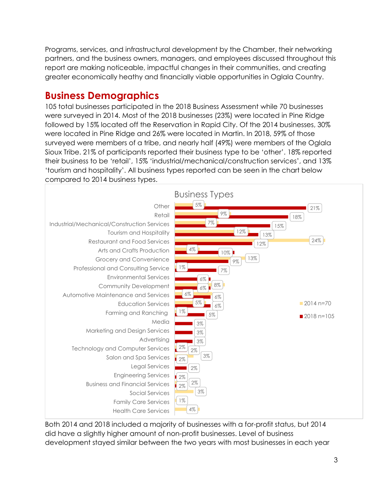Programs, services, and infrastructural development by the Chamber, their networking partners, and the business owners, managers, and employees discussed throughout this report are making noticeable, impactful changes in their communities, and creating greater economically heathy and financially viable opportunities in Oglala Country.

### **Business Demographics**

105 total businesses participated in the 2018 Business Assessment while 70 businesses were surveyed in 2014. Most of the 2018 businesses (23%) were located in Pine Ridge followed by 15% located off the Reservation in Rapid City. Of the 2014 businesses, 30% were located in Pine Ridge and 26% were located in Martin. In 2018, 59% of those surveyed were members of a tribe, and nearly half (49%) were members of the Oglala Sioux Tribe. 21% of participants reported their business type to be 'other'. 18% reported their business to be 'retail', 15% 'industrial/mechanical/construction services', and 13% 'tourism and hospitality'. All business types reported can be seen in the chart below compared to 2014 business types.



Both 2014 and 2018 included a majority of businesses with a for-profit status, but 2014 did have a slightly higher amount of non-profit businesses. Level of business development stayed similar between the two years with most businesses in each year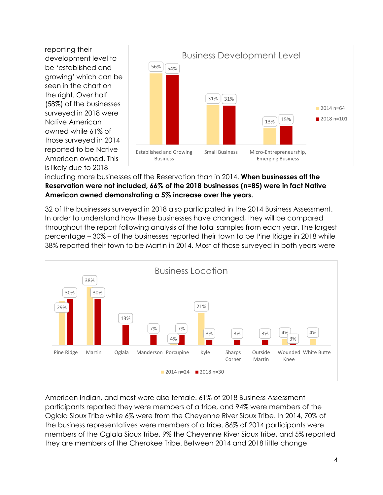reporting their development level to be 'established and growing' which can be seen in the chart on the right. Over half (58%) of the businesses surveyed in 2018 were Native American owned while 61% of those surveyed in 2014 reported to be Native American owned. This is likely due to 2018



#### including more businesses off the Reservation than in 2014. **When businesses off the Reservation were not included, 66% of the 2018 businesses (n=85) were in fact Native American owned demonstrating a 5% increase over the years.**

32 of the businesses surveyed in 2018 also participated in the 2014 Business Assessment. In order to understand how these businesses have changed, they will be compared throughout the report following analysis of the total samples from each year. The largest percentage – 30% – of the businesses reported their town to be Pine Ridge in 2018 while 38% reported their town to be Martin in 2014. Most of those surveyed in both years were



American Indian, and most were also female. 61% of 2018 Business Assessment participants reported they were members of a tribe, and 94% were members of the Oglala Sioux Tribe while 6% were from the Cheyenne River Sioux Tribe. In 2014, 70% of the business representatives were members of a tribe. 86% of 2014 participants were members of the Oglala Sioux Tribe, 9% the Cheyenne River Sioux Tribe, and 5% reported they are members of the Cherokee Tribe. Between 2014 and 2018 little change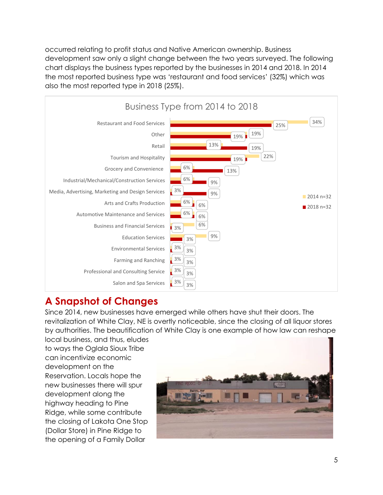occurred relating to profit status and Native American ownership. Business development saw only a slight change between the two years surveyed. The following chart displays the business types reported by the businesses in 2014 and 2018. In 2014 the most reported business type was 'restaurant and food services' (32%) which was also the most reported type in 2018 (25%).



## **A Snapshot of Changes**

Since 2014, new businesses have emerged while others have shut their doors. The revitalization of White Clay, NE is overtly noticeable, since the closing of all liquor stores by authorities. The beautification of White Clay is one example of how law can reshape

local business, and thus, eludes to ways the Oglala Sioux Tribe can incentivize economic development on the Reservation. Locals hope the new businesses there will spur development along the highway heading to Pine Ridge, while some contribute the closing of Lakota One Stop (Dollar Store) in Pine Ridge to the opening of a Family Dollar

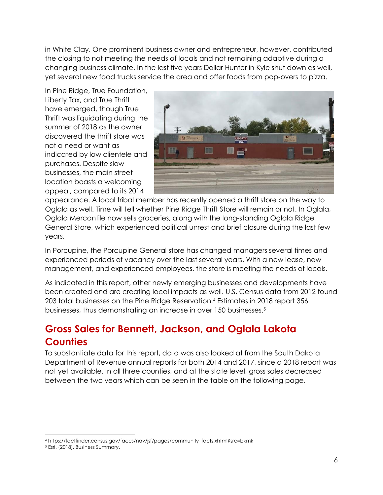in White Clay. One prominent business owner and entrepreneur, however, contributed the closing to not meeting the needs of locals and not remaining adaptive during a changing business climate. In the last five years Dollar Hunter in Kyle shut down as well, yet several new food trucks service the area and offer foods from pop-overs to pizza.

In Pine Ridge, True Foundation, Liberty Tax, and True Thrift have emerged, though True Thrift was liquidating during the summer of 2018 as the owner discovered the thrift store was not a need or want as indicated by low clientele and purchases. Despite slow businesses, the main street location boasts a welcoming appeal, compared to its 2014



appearance. A local tribal member has recently opened a thrift store on the way to Oglala as well. Time will tell whether Pine Ridge Thrift Store will remain or not. In Oglala, Oglala Mercantile now sells groceries, along with the long-standing Oglala Ridge General Store, which experienced political unrest and brief closure during the last few years.

In Porcupine, the Porcupine General store has changed managers several times and experienced periods of vacancy over the last several years. With a new lease, new management, and experienced employees, the store is meeting the needs of locals.

As indicated in this report, other newly emerging businesses and developments have been created and are creating local impacts as well. U.S. Census data from 2012 found 203 total businesses on the Pine Ridge Reservation.<sup>4</sup> Estimates in 2018 report 356 businesses, thus demonstrating an increase in over 150 businesses.<sup>5</sup>

# **Gross Sales for Bennett, Jackson, and Oglala Lakota Counties**

To substantiate data for this report, data was also looked at from the South Dakota Department of Revenue annual reports for both 2014 and 2017, since a 2018 report was not yet available. In all three counties, and at the state level, gross sales decreased between the two years which can be seen in the table on the following page.

 $\overline{a}$ 

<sup>4</sup> https://factfinder.census.gov/faces/nav/jsf/pages/community\_facts.xhtml?src=bkmk

<sup>5</sup> Esri. (2018). Business Summary.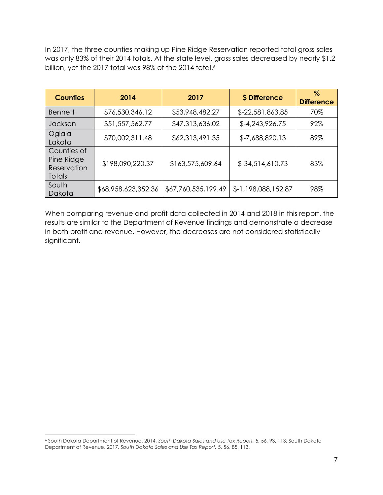In 2017, the three counties making up Pine Ridge Reservation reported total gross sales was only 83% of their 2014 totals. At the state level, gross sales decreased by nearly \$1.2 billion, yet the 2017 total was 98% of the 2014 total.<sup>6</sup>

| <b>Counties</b>                                    | 2014                | 2017                | \$ Difference       | $\%$<br><b>Difference</b> |
|----------------------------------------------------|---------------------|---------------------|---------------------|---------------------------|
| <b>Bennett</b>                                     | \$76,530,346.12     | \$53,948,482.27     | \$-22,581,863.85    | 70%                       |
| Jackson                                            | \$51,557,562.77     | \$47,313,636.02     | $$-4,243,926.75$    | 92%                       |
| Oglala<br>Lakota                                   | \$70,002,311.48     | \$62,313,491.35     | \$-7,688,820.13     | 89%                       |
| Counties of<br>Pine Ridge<br>Reservation<br>Totals | \$198,090,220.37    | \$163,575,609.64    | $$-34,514,610.73$   | 83%                       |
| South<br>Dakota                                    | \$68,958,623,352.36 | \$67,760,535,199.49 | \$-1,198,088,152.87 | 98%                       |

When comparing revenue and profit data collected in 2014 and 2018 in this report, the results are similar to the Department of Revenue findings and demonstrate a decrease in both profit and revenue. However, the decreases are not considered statistically significant.

 $\overline{a}$ 

<sup>6</sup> South Dakota Department of Revenue. 2014. *South Dakota Sales and Use Tax Report.* 5, 56, 93, 113; South Dakota Department of Revenue. 2017. *South Dakota Sales and Use Tax Report.* 5, 56, 85, 113.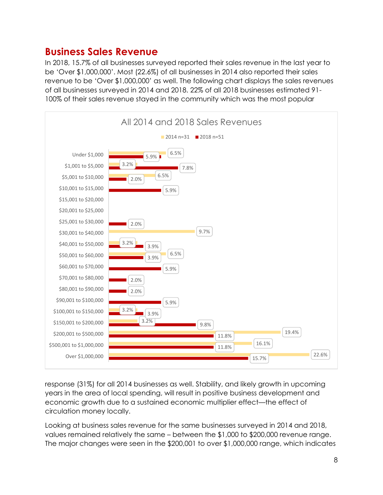#### **Business Sales Revenue**

In 2018, 15.7% of all businesses surveyed reported their sales revenue in the last year to be 'Over \$1,000,000'. Most (22.6%) of all businesses in 2014 also reported their sales revenue to be 'Over \$1,000,000' as well. The following chart displays the sales revenues of all businesses surveyed in 2014 and 2018. 22% of all 2018 businesses estimated 91- 100% of their sales revenue stayed in the community which was the most popular



response (31%) for all 2014 businesses as well. Stability, and likely growth in upcoming years in the area of local spending, will result in positive business development and economic growth due to a sustained economic multiplier effect—the effect of circulation money locally.

Looking at business sales revenue for the same businesses surveyed in 2014 and 2018, values remained relatively the same – between the \$1,000 to \$200,000 revenue range. The major changes were seen in the \$200,001 to over \$1,000,000 range, which indicates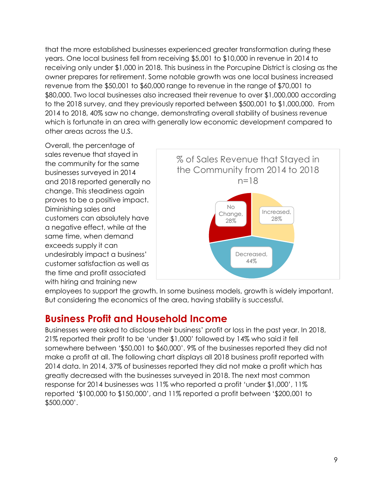that the more established businesses experienced greater transformation during these years. One local business fell from receiving \$5,001 to \$10,000 in revenue in 2014 to receiving only under \$1,000 in 2018. This business in the Porcupine District is closing as the owner prepares for retirement. Some notable growth was one local business increased revenue from the \$50,001 to \$60,000 range to revenue in the range of \$70,001 to \$80,000. Two local businesses also increased their revenue to over \$1,000,000 according to the 2018 survey, and they previously reported between \$500,001 to \$1,000,000. From 2014 to 2018, 40% saw no change, demonstrating overall stability of business revenue which is fortunate in an area with generally low economic development compared to other areas across the U.S.

Overall, the percentage of sales revenue that stayed in the community for the same businesses surveyed in 2014 and 2018 reported generally no change. This steadiness again proves to be a positive impact. Diminishing sales and customers can absolutely have a negative effect, while at the same time, when demand exceeds supply it can undesirably impact a business' customer satisfaction as well as the time and profit associated with hiring and training new



employees to support the growth. In some business models, growth is widely important. But considering the economics of the area, having stability is successful.

#### **Business Profit and Household Income**

Businesses were asked to disclose their business' profit or loss in the past year. In 2018, 21% reported their profit to be 'under \$1,000' followed by 14% who said it fell somewhere between '\$50,001 to \$60,000'. 9% of the businesses reported they did not make a profit at all. The following chart displays all 2018 business profit reported with 2014 data. In 2014, 37% of businesses reported they did not make a profit which has greatly decreased with the businesses surveyed in 2018. The next most common response for 2014 businesses was 11% who reported a profit 'under \$1,000', 11% reported '\$100,000 to \$150,000', and 11% reported a profit between '\$200,001 to \$500,000'.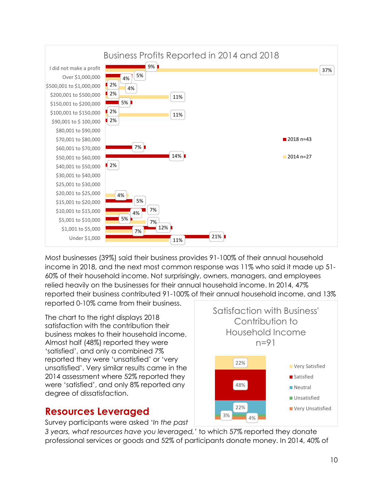

Most businesses (39%) said their business provides 91-100% of their annual household income in 2018, and the next most common response was 11% who said it made up 51- 60% of their household income. Not surprisingly, owners, managers, and employees relied heavily on the businesses for their annual household income. In 2014, 47% reported their business contributed 91-100% of their annual household income, and 13% reported 0-10% came from their business.

The chart to the right displays 2018 satisfaction with the contribution their business makes to their household income. Almost half (48%) reported they were 'satisfied', and only a combined 7% reported they were 'unsatisfied' or 'very unsatisfied'. Very similar results came in the 2014 assessment where 52% reported they were 'satisfied', and only 8% reported any degree of dissatisfaction.

#### **Resources Leveraged**

Survey participants were asked '*In the past* 

*3 years, what resources have you leveraged,'* to which 57% reported they donate professional services or goods and 52% of participants donate money. In 2014, 40% of

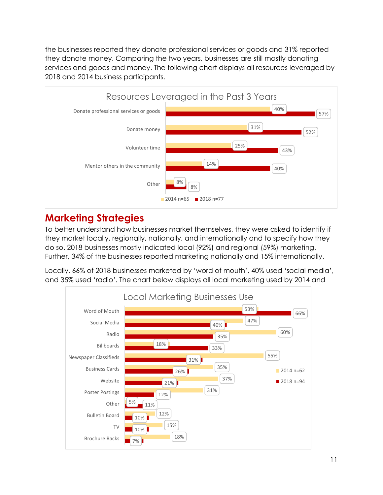the businesses reported they donate professional services or goods and 31% reported they donate money. Comparing the two years, businesses are still mostly donating services and goods and money. The following chart displays all resources leveraged by 2018 and 2014 business participants.



## **Marketing Strategies**

To better understand how businesses market themselves, they were asked to identify if they market locally, regionally, nationally, and internationally and to specify how they do so. 2018 businesses mostly indicated local (92%) and regional (59%) marketing. Further, 34% of the businesses reported marketing nationally and 15% internationally.

Locally, 66% of 2018 businesses marketed by 'word of mouth', 40% used 'social media', and 35% used 'radio'. The chart below displays all local marketing used by 2014 and

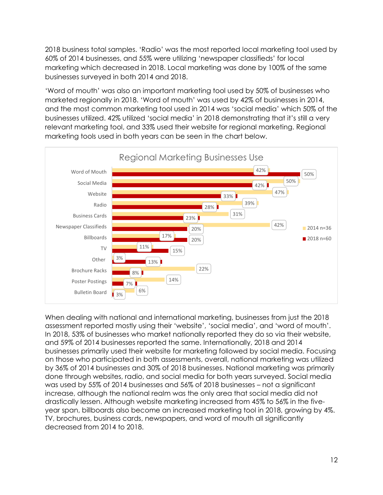2018 business total samples. 'Radio' was the most reported local marketing tool used by 60% of 2014 businesses, and 55% were utilizing 'newspaper classifieds' for local marketing which decreased in 2018. Local marketing was done by 100% of the same businesses surveyed in both 2014 and 2018.

'Word of mouth' was also an important marketing tool used by 50% of businesses who marketed regionally in 2018. 'Word of mouth' was used by 42% of businesses in 2014, and the most common marketing tool used in 2014 was 'social media' which 50% of the businesses utilized. 42% utilized 'social media' in 2018 demonstrating that it's still a very relevant marketing tool, and 33% used their website for regional marketing. Regional marketing tools used in both years can be seen in the chart below.



When dealing with national and international marketing, businesses from just the 2018 assessment reported mostly using their 'website', 'social media', and 'word of mouth'. In 2018, 53% of businesses who market nationally reported they do so via their website, and 59% of 2014 businesses reported the same. Internationally, 2018 and 2014 businesses primarily used their website for marketing followed by social media. Focusing on those who participated in both assessments, overall, national marketing was utilized by 36% of 2014 businesses and 30% of 2018 businesses. National marketing was primarily done through websites, radio, and social media for both years surveyed. Social media was used by 55% of 2014 businesses and 56% of 2018 businesses – not a significant increase, although the national realm was the only area that social media did not drastically lessen. Although website marketing increased from 45% to 56% in the fiveyear span, billboards also become an increased marketing tool in 2018, growing by 4%. TV, brochures, business cards, newspapers, and word of mouth all significantly decreased from 2014 to 2018.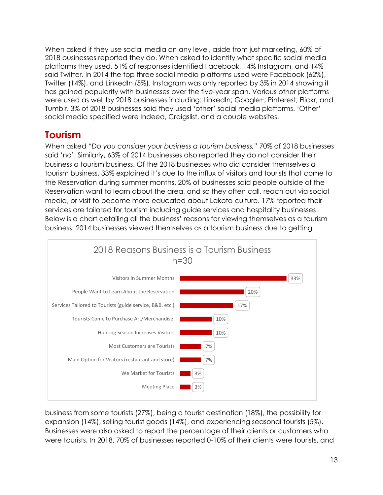When asked if they use social media on any level, aside from just marketing, 60% of 2018 businesses reported they do. When asked to identify what specific social media platforms they used, 51% of responses identified Facebook, 14% Instagram, and 14% said Twitter. In 2014 the top three social media platforms used were Facebook (62%), Twitter (14%), and LinkedIn (5%). Instagram was only reported by 3% in 2014 showing it has gained popularity with businesses over the five-year span. Various other platforms were used as well by 2018 businesses including: LinkedIn; Google+; Pinterest; Flickr; and Tumblr. 3% of 2018 businesses said they used 'other' social media platforms. 'Other' social media specified were Indeed, Craigslist, and a couple websites.

## **Tourism**

When asked "*Do you consider your business a tourism business,"* 70% of 2018 businesses said 'no'. Similarly, 63% of 2014 businesses also reported they do not consider their business a tourism business. Of the 2018 businesses who did consider themselves a tourism business, 33% explained it's due to the influx of visitors and tourists that come to the Reservation during summer months. 20% of businesses said people outside of the Reservation want to learn about the area, and so they often call, reach out via social media, or visit to become more educated about Lakota culture. 17% reported their services are tailored for tourism including guide services and hospitality businesses. Below is a chart detailing all the business' reasons for viewing themselves as a tourism business. 2014 businesses viewed themselves as a tourism business due to getting



business from some tourists (27%), being a tourist destination (18%), the possibility for expansion (14%), selling tourist goods (14%), and experiencing seasonal tourists (5%). Businesses were also asked to report the percentage of their clients or customers who were tourists. In 2018, 70% of businesses reported 0-10% of their clients were tourists, and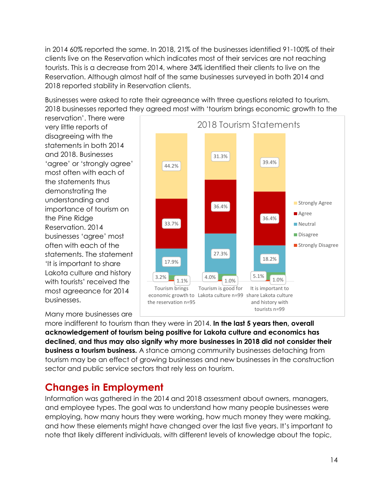in 2014 60% reported the same. In 2018, 21% of the businesses identified 91-100% of their clients live on the Reservation which indicates most of their services are not reaching tourists. This is a decrease from 2014, where 34% identified their clients to live on the Reservation. Although almost half of the same businesses surveyed in both 2014 and 2018 reported stability in Reservation clients.

Businesses were asked to rate their agreeance with three questions related to tourism. 2018 businesses reported they agreed most with 'tourism brings economic growth to the

reservation'. There were very little reports of disagreeing with the statements in both 2014 and 2018. Businesses 'agree' or 'strongly agree' most often with each of the statements thus demonstrating the understanding and importance of tourism on the Pine Ridge Reservation. 2014 businesses 'agree' most often with each of the statements. The statement 'It is important to share Lakota culture and history with tourists' received the most agreeance for 2014 businesses.



#### Many more businesses are

more indifferent to tourism than they were in 2014. **In the last 5 years then, overall acknowledgement of tourism being positive for Lakota culture and economics has declined, and thus may also signify why more businesses in 2018 did not consider their business a tourism business.** A stance among community businesses detaching from tourism may be an effect of growing businesses and new businesses in the construction sector and public service sectors that rely less on tourism.

#### **Changes in Employment**

Information was gathered in the 2014 and 2018 assessment about owners, managers, and employee types. The goal was to understand how many people businesses were employing, how many hours they were working, how much money they were making, and how these elements might have changed over the last five years. It's important to note that likely different individuals, with different levels of knowledge about the topic,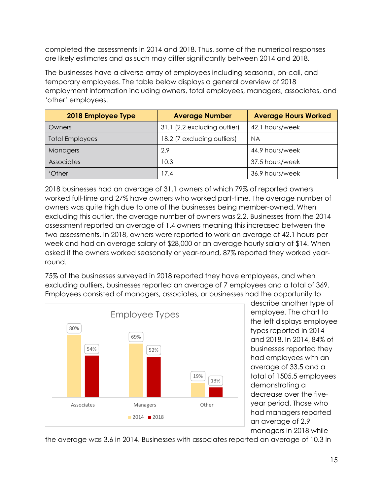completed the assessments in 2014 and 2018. Thus, some of the numerical responses are likely estimates and as such may differ significantly between 2014 and 2018.

The businesses have a diverse array of employees including seasonal, on-call, and temporary employees. The table below displays a general overview of 2018 employment information including owners, total employees, managers, associates, and 'other' employees.

| 2018 Employee Type     | <b>Average Number</b>        | <b>Average Hours Worked</b> |
|------------------------|------------------------------|-----------------------------|
| Owners                 | 31.1 (2.2 excluding outlier) | 42.1 hours/week             |
| <b>Total Employees</b> | 18.2 (7 excluding outliers)  | <b>NA</b>                   |
| Managers               | 2.9                          | 44.9 hours/week             |
| Associates             | 10.3                         | 37.5 hours/week             |
| 'Other'                | 17.4                         | 36.9 hours/week             |

2018 businesses had an average of 31.1 owners of which 79% of reported owners worked full-time and 27% have owners who worked part-time. The average number of owners was quite high due to one of the businesses being member-owned. When excluding this outlier, the average number of owners was 2.2. Businesses from the 2014 assessment reported an average of 1.4 owners meaning this increased between the two assessments. In 2018, owners were reported to work an average of 42.1 hours per week and had an average salary of \$28,000 or an average hourly salary of \$14. When asked if the owners worked seasonally or year-round, 87% reported they worked yearround.

75% of the businesses surveyed in 2018 reported they have employees, and when excluding outliers, businesses reported an average of 7 employees and a total of 369. Employees consisted of managers, associates, or businesses had the opportunity to



describe another type of employee. The chart to the left displays employee types reported in 2014 and 2018. In 2014, 84% of businesses reported they had employees with an average of 33.5 and a total of 1505.5 employees demonstrating a decrease over the fiveyear period. Those who had managers reported an average of 2.9 managers in 2018 while

the average was 3.6 in 2014. Businesses with associates reported an average of 10.3 in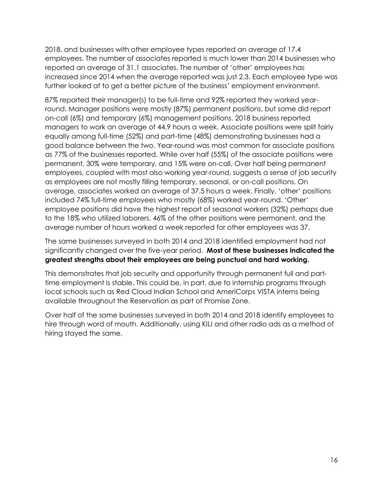2018, and businesses with other employee types reported an average of 17.4 employees. The number of associates reported is much lower than 2014 businesses who reported an average of 31.1 associates. The number of 'other' employees has increased since 2014 when the average reported was just 2.3. Each employee type was further looked at to get a better picture of the business' employment environment.

87% reported their manager(s) to be full-time and 92% reported they worked yearround. Manager positions were mostly (87%) permanent positions, but some did report on-call (6%) and temporary (6%) management positions. 2018 business reported managers to work an average of 44.9 hours a week. Associate positions were split fairly equally among full-time (52%) and part-time (48%) demonstrating businesses had a good balance between the two. Year-round was most common for associate positions as 77% of the businesses reported. While over half (55%) of the associate positions were permanent, 30% were temporary, and 15% were on-call. Over half being permanent employees, coupled with most also working year-round, suggests a sense of job security as employees are not mostly filling temporary, seasonal, or on-call positions. On average, associates worked an average of 37.5 hours a week. Finally, 'other' positions included 74% full-time employees who mostly (68%) worked year-round. 'Other' employee positions did have the highest report of seasonal workers (32%) perhaps due to the 18% who utilized laborers. 46% of the other positions were permanent, and the average number of hours worked a week reported for other employees was 37.

The same businesses surveyed in both 2014 and 2018 identified employment had not significantly changed over the five-year period. **Most of these businesses indicated the greatest strengths about their employees are being punctual and hard working.**

This demonstrates that job security and opportunity through permanent full and parttime employment is stable. This could be, in part, due to internship programs through local schools such as Red Cloud Indian School and AmeriCorps VISTA interns being available throughout the Reservation as part of Promise Zone.

Over half of the same businesses surveyed in both 2014 and 2018 identify employees to hire through word of mouth. Additionally, using KILI and other radio ads as a method of hiring stayed the same.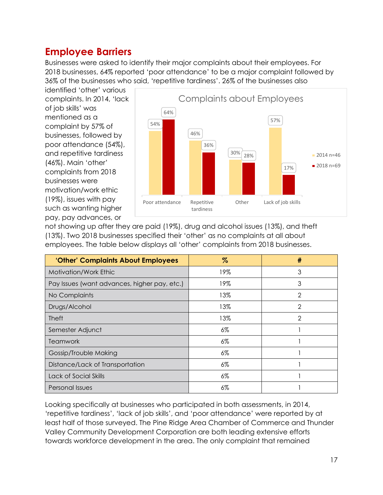#### **Employee Barriers**

Businesses were asked to identify their major complaints about their employees. For 2018 businesses, 64% reported 'poor attendance' to be a major complaint followed by 36% of the businesses who said, 'repetitive tardiness'. 26% of the businesses also

identified 'other' various complaints. In 2014, 'lack of job skills' was mentioned as a complaint by 57% of businesses, followed by poor attendance (54%), and repetitive tardiness (46%). Main 'other' complaints from 2018 businesses were motivation/work ethic (19%), issues with pay such as wanting higher pay, pay advances, or



not showing up after they are paid (19%), drug and alcohol issues (13%), and theft (13%). Two 2018 businesses specified their 'other' as no complaints at all about employees. The table below displays all 'other' complaints from 2018 businesses.

| 'Other' Complaints About Employees           | $\%$  | #              |
|----------------------------------------------|-------|----------------|
| Motivation/Work Ethic                        | 19%   | 3              |
| Pay Issues (want advances, higher pay, etc.) | 19%   | 3              |
| No Complaints                                | 13%   | $\overline{2}$ |
| Drugs/Alcohol                                | 13%   | $\overline{2}$ |
| <b>Theft</b>                                 | 13%   | $\mathcal{P}$  |
| Semester Adjunct                             | $6\%$ |                |
| Teamwork                                     | 6%    |                |
| Gossip/Trouble Making                        | $6\%$ |                |
| Distance/Lack of Transportation              | $6\%$ |                |
| Lack of Social Skills                        | $6\%$ |                |
| Personal Issues                              | 6%    |                |

Looking specifically at businesses who participated in both assessments, in 2014, 'repetitive tardiness', 'lack of job skills', and 'poor attendance' were reported by at least half of those surveyed. The Pine Ridge Area Chamber of Commerce and Thunder Valley Community Development Corporation are both leading extensive efforts towards workforce development in the area. The only complaint that remained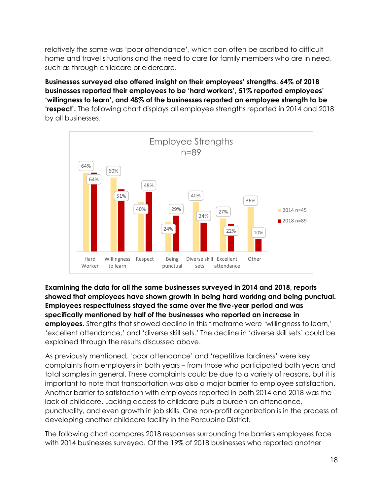relatively the same was 'poor attendance', which can often be ascribed to difficult home and travel situations and the need to care for family members who are in need, such as through childcare or eldercare.

**Businesses surveyed also offered insight on their employees' strengths. 64% of 2018 businesses reported their employees to be 'hard workers', 51% reported employees' 'willingness to learn', and 48% of the businesses reported an employee strength to be 'respect'.** The following chart displays all employee strengths reported in 2014 and 2018 by all businesses.



**Examining the data for all the same businesses surveyed in 2014 and 2018, reports showed that employees have shown growth in being hard working and being punctual. Employees respectfulness stayed the same over the five-year period and was specifically mentioned by half of the businesses who reported an increase in employees.** Strengths that showed decline in this timeframe were 'willingness to learn,' 'excellent attendance,' and 'diverse skill sets.' The decline in 'diverse skill sets' could be explained through the results discussed above.

As previously mentioned, 'poor attendance' and 'repetitive tardiness' were key complaints from employers in both years – from those who participated both years and total samples in general. These complaints could be due to a variety of reasons, but it is important to note that transportation was also a major barrier to employee satisfaction. Another barrier to satisfaction with employees reported in both 2014 and 2018 was the lack of childcare. Lacking access to childcare puts a burden on attendance, punctuality, and even growth in job skills. One non-profit organization is in the process of developing another childcare facility in the Porcupine District.

The following chart compares 2018 responses surrounding the barriers employees face with 2014 businesses surveyed. Of the 19% of 2018 businesses who reported another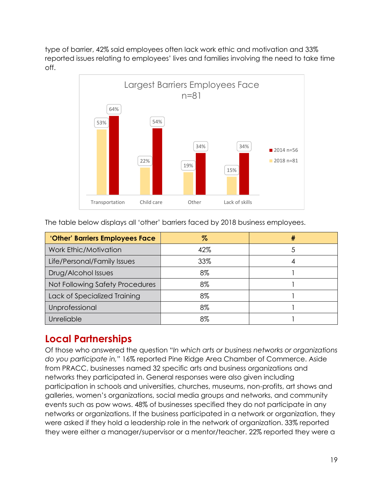type of barrier, 42% said employees often lack work ethic and motivation and 33% reported issues relating to employees' lives and families involving the need to take time off.



The table below displays all 'other' barriers faced by 2018 business employees.

| 'Other' Barriers Employees Face | %   | # |
|---------------------------------|-----|---|
| Work Ethic/Motivation           | 42% |   |
| Life/Personal/Family Issues     | 33% |   |
| Drug/Alcohol Issues             | 8%  |   |
| Not Following Safety Procedures | 8%  |   |
| Lack of Specialized Training    | 8%  |   |
| Unprofessional                  | 8%  |   |
| Unreliable                      | 8%  |   |

#### **Local Partnerships**

Of those who answered the question "*In which arts or business networks or organizations do you participate in,"* 16% reported Pine Ridge Area Chamber of Commerce. Aside from PRACC, businesses named 32 specific arts and business organizations and networks they participated in. General responses were also given including participation in schools and universities, churches, museums, non-profits, art shows and galleries, women's organizations, social media groups and networks, and community events such as pow wows. 48% of businesses specified they do not participate in any networks or organizations. If the business participated in a network or organization, they were asked if they hold a leadership role in the network of organization. 33% reported they were either a manager/supervisor or a mentor/teacher. 22% reported they were a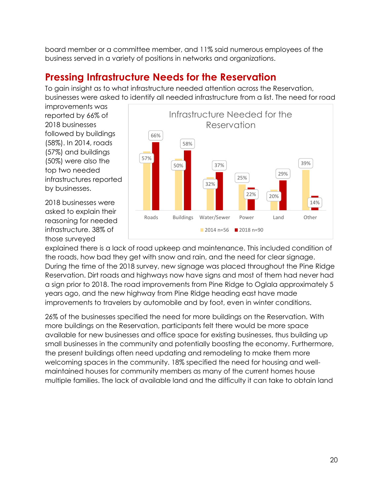board member or a committee member, and 11% said numerous employees of the business served in a variety of positions in networks and organizations.

# **Pressing Infrastructure Needs for the Reservation**

To gain insight as to what infrastructure needed attention across the Reservation, businesses were asked to identify all needed infrastructure from a list. The need for road

improvements was reported by 66% of 2018 businesses followed by buildings (58%). In 2014, roads (57%) and buildings (50%) were also the top two needed infrastructures reported by businesses.

2018 businesses were asked to explain their reasoning for needed infrastructure. 38% of those surveyed



explained there is a lack of road upkeep and maintenance. This included condition of the roads, how bad they get with snow and rain, and the need for clear signage. During the time of the 2018 survey, new signage was placed throughout the Pine Ridge Reservation. Dirt roads and highways now have signs and most of them had never had a sign prior to 2018. The road improvements from Pine Ridge to Oglala approximately 5 years ago, and the new highway from Pine Ridge heading east have made improvements to travelers by automobile and by foot, even in winter conditions.

26% of the businesses specified the need for more buildings on the Reservation. With more buildings on the Reservation, participants felt there would be more space available for new businesses and office space for existing businesses, thus building up small businesses in the community and potentially boosting the economy. Furthermore, the present buildings often need updating and remodeling to make them more welcoming spaces in the community. 18% specified the need for housing and wellmaintained houses for community members as many of the current homes house multiple families. The lack of available land and the difficulty it can take to obtain land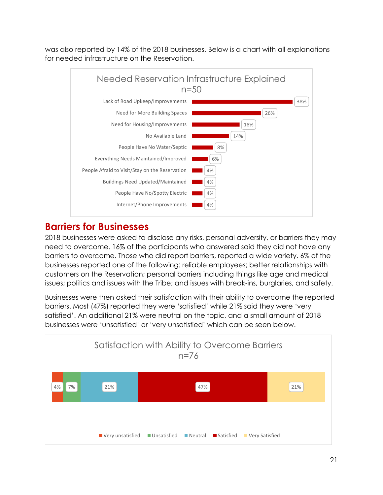was also reported by 14% of the 2018 businesses. Below is a chart with all explanations for needed infrastructure on the Reservation.



## **Barriers for Businesses**

2018 businesses were asked to disclose any risks, personal adversity, or barriers they may need to overcome. 16% of the participants who answered said they did not have any barriers to overcome. Those who did report barriers, reported a wide variety. 6% of the businesses reported one of the following: reliable employees; better relationships with customers on the Reservation; personal barriers including things like age and medical issues; politics and issues with the Tribe; and issues with break-ins, burglaries, and safety.

Businesses were then asked their satisfaction with their ability to overcome the reported barriers. Most (47%) reported they were 'satisfied' while 21% said they were 'very satisfied'. An additional 21% were neutral on the topic, and a small amount of 2018 businesses were 'unsatisfied' or 'very unsatisfied' which can be seen below.

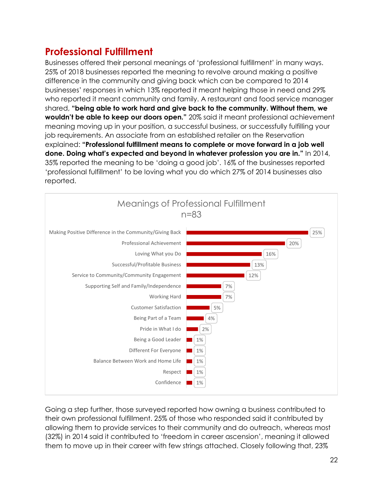## **Professional Fulfillment**

Businesses offered their personal meanings of 'professional fulfillment' in many ways. 25% of 2018 businesses reported the meaning to revolve around making a positive difference in the community and giving back which can be compared to 2014 businesses' responses in which 13% reported it meant helping those in need and 29% who reported it meant community and family. A restaurant and food service manager shared, **"being able to work hard and give back to the community. Without them, we wouldn't be able to keep our doors open."** 20% said it meant professional achievement meaning moving up in your position, a successful business, or successfully fulfilling your job requirements. An associate from an established retailer on the Reservation explained: **"Professional fulfillment means to complete or move forward in a job well done. Doing what's expected and beyond in whatever profession you are in."** In 2014, 35% reported the meaning to be 'doing a good job'. 16% of the businesses reported 'professional fulfillment' to be loving what you do which 27% of 2014 businesses also reported.



Going a step further, those surveyed reported how owning a business contributed to their own professional fulfillment. 25% of those who responded said it contributed by allowing them to provide services to their community and do outreach, whereas most (32%) in 2014 said it contributed to 'freedom in career ascension', meaning it allowed them to move up in their career with few strings attached. Closely following that, 23%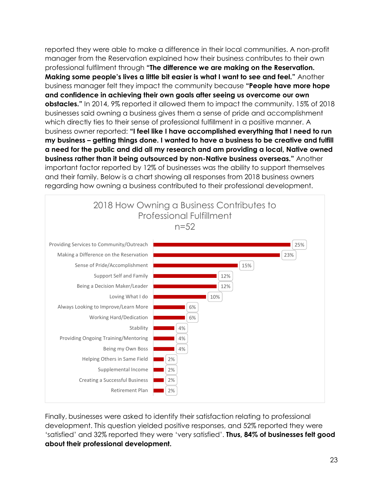reported they were able to make a difference in their local communities. A non-profit manager from the Reservation explained how their business contributes to their own professional fulfilment through **"The difference we are making on the Reservation. Making some people's lives a little bit easier is what I want to see and feel."** Another business manager felt they impact the community because **"People have more hope and confidence in achieving their own goals after seeing us overcome our own obstacles."** In 2014, 9% reported it allowed them to impact the community. 15% of 2018 businesses said owning a business gives them a sense of pride and accomplishment which directly ties to their sense of professional fulfillment in a positive manner. A business owner reported: **"I feel like I have accomplished everything that I need to run my business – getting things done. I wanted to have a business to be creative and fulfill a need for the public and did all my research and am providing a local, Native owned business rather than it being outsourced by non-Native business overseas."** Another important factor reported by 12% of businesses was the ability to support themselves and their family. Below is a chart showing all responses from 2018 business owners regarding how owning a business contributed to their professional development.



Finally, businesses were asked to identify their satisfaction relating to professional development. This question yielded positive responses, and 52% reported they were 'satisfied' and 32% reported they were 'very satisfied'. **Thus, 84% of businesses felt good about their professional development.**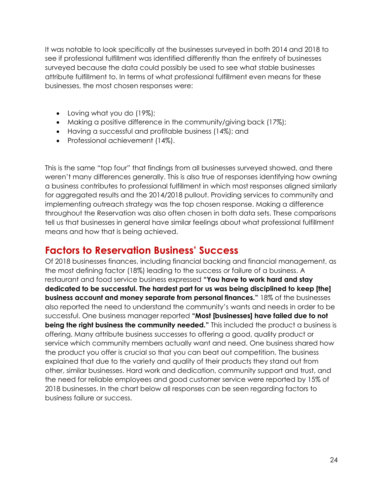It was notable to look specifically at the businesses surveyed in both 2014 and 2018 to see if professional fulfillment was identified differently than the entirety of businesses surveyed because the data could possibly be used to see what stable businesses attribute fulfillment to. In terms of what professional fulfillment even means for these businesses, the most chosen responses were:

- Loving what you do (19%);
- Making a positive difference in the community/giving back (17%);
- Having a successful and profitable business (14%); and
- Professional achievement (14%).

This is the same "top four" that findings from all businesses surveyed showed, and there weren't many differences generally. This is also true of responses identifying how owning a business contributes to professional fulfillment in which most responses aligned similarly for aggregated results and the 2014/2018 pullout. Providing services to community and implementing outreach strategy was the top chosen response. Making a difference throughout the Reservation was also often chosen in both data sets. These comparisons tell us that businesses in general have similar feelings about what professional fulfillment means and how that is being achieved.

#### **Factors to Reservation Business' Success**

Of 2018 businesses finances, including financial backing and financial management, as the most defining factor (18%) leading to the success or failure of a business. A restaurant and food service business expressed **"You have to work hard and stay dedicated to be successful. The hardest part for us was being disciplined to keep [the] business account and money separate from personal finances."** 18% of the businesses also reported the need to understand the community's wants and needs in order to be successful. One business manager reported **"Most [businesses] have failed due to not being the right business the community needed."** This included the product a business is offering. Many attribute business successes to offering a good, quality product or service which community members actually want and need. One business shared how the product you offer is crucial so that you can beat out competition. The business explained that due to the variety and quality of their products they stand out from other, similar businesses. Hard work and dedication, community support and trust, and the need for reliable employees and good customer service were reported by 15% of 2018 businesses. In the chart below all responses can be seen regarding factors to business failure or success.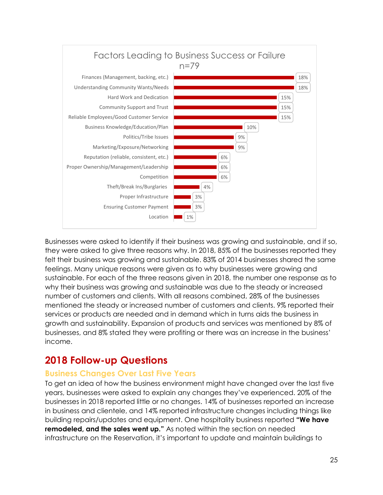

Businesses were asked to identify if their business was growing and sustainable, and if so, they were asked to give three reasons why. In 2018, 85% of the businesses reported they felt their business was growing and sustainable. 83% of 2014 businesses shared the same feelings. Many unique reasons were given as to why businesses were growing and sustainable. For each of the three reasons given in 2018, the number one response as to why their business was growing and sustainable was due to the steady or increased number of customers and clients. With all reasons combined, 28% of the businesses mentioned the steady or increased number of customers and clients. 9% reported their services or products are needed and in demand which in turns aids the business in growth and sustainability. Expansion of products and services was mentioned by 8% of businesses, and 8% stated they were profiting or there was an increase in the business' income.

## **2018 Follow-up Questions**

#### **Business Changes Over Last Five Years**

To get an idea of how the business environment might have changed over the last five years, businesses were asked to explain any changes they've experienced. 20% of the businesses in 2018 reported little or no changes. 14% of businesses reported an increase in business and clientele, and 14% reported infrastructure changes including things like building repairs/updates and equipment. One hospitality business reported **"We have remodeled, and the sales went up."** As noted within the section on needed infrastructure on the Reservation, it's important to update and maintain buildings to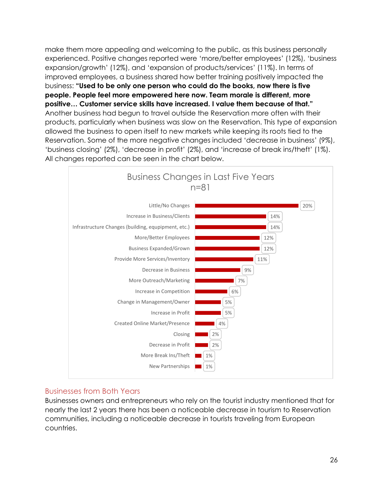make them more appealing and welcoming to the public, as this business personally experienced. Positive changes reported were 'more/better employees' (12%), 'business expansion/growth' (12%), and 'expansion of products/services' (11%). In terms of improved employees, a business shared how better training positively impacted the business: **"Used to be only one person who could do the books, now there is five people. People feel more empowered here now. Team morale is different, more positive… Customer service skills have increased. I value them because of that."** Another business had begun to travel outside the Reservation more often with their products, particularly when business was slow on the Reservation. This type of expansion allowed the business to open itself to new markets while keeping its roots tied to the Reservation. Some of the more negative changes included 'decrease in business' (9%), 'business closing' (2%), 'decrease in profit' (2%), and 'increase of break ins/theft' (1%). All changes reported can be seen in the chart below.



#### Businesses from Both Years

Businesses owners and entrepreneurs who rely on the tourist industry mentioned that for nearly the last 2 years there has been a noticeable decrease in tourism to Reservation communities, including a noticeable decrease in tourists traveling from European countries.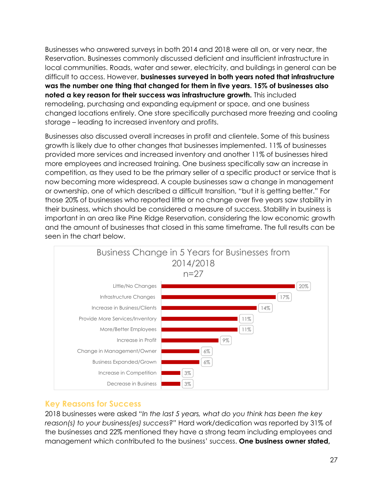Businesses who answered surveys in both 2014 and 2018 were all on, or very near, the Reservation. Businesses commonly discussed deficient and insufficient infrastructure in local communities. Roads, water and sewer, electricity, and buildings in general can be difficult to access. However, **businesses surveyed in both years noted that infrastructure was the number one thing that changed for them in five years. 15% of businesses also noted a key reason for their success was infrastructure growth.** This included remodeling, purchasing and expanding equipment or space, and one business changed locations entirely. One store specifically purchased more freezing and cooling storage – leading to increased inventory and profits.

Businesses also discussed overall increases in profit and clientele. Some of this business growth is likely due to other changes that businesses implemented. 11% of businesses provided more services and increased inventory and another 11% of businesses hired more employees and increased training. One business specifically saw an increase in competition, as they used to be the primary seller of a specific product or service that is now becoming more widespread. A couple businesses saw a change in management or ownership, one of which described a difficult transition, "but it is getting better." For those 20% of businesses who reported little or no change over five years saw stability in their business, which should be considered a measure of success. Stability in business is important in an area like Pine Ridge Reservation, considering the low economic growth and the amount of businesses that closed in this same timeframe. The full results can be seen in the chart below.



#### **Key Reasons for Success**

2018 businesses were asked "*In the last 5 years, what do you think has been the key reason(s) to your business(es) success?"* Hard work/dedication was reported by 31% of the businesses and 22% mentioned they have a strong team including employees and management which contributed to the business' success. **One business owner stated,**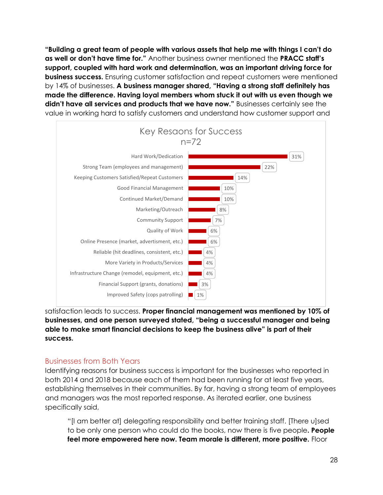**"Building a great team of people with various assets that help me with things I can't do as well or don't have time for."** Another business owner mentioned the **PRACC staff's support, coupled with hard work and determination, was an important driving force for business success.** Ensuring customer satisfaction and repeat customers were mentioned by 14% of businesses. **A business manager shared, "Having a strong staff definitely has made the difference. Having loyal members whom stuck it out with us even though we didn't have all services and products that we have now."** Businesses certainly see the value in working hard to satisfy customers and understand how customer support and



#### satisfaction leads to success. **Proper financial management was mentioned by 10% of businesses, and one person surveyed stated, "being a successful manager and being able to make smart financial decisions to keep the business alive" is part of their success.**

#### Businesses from Both Years

Identifying reasons for business success is important for the businesses who reported in both 2014 and 2018 because each of them had been running for at least five years, establishing themselves in their communities. By far, having a strong team of employees and managers was the most reported response. As iterated earlier, one business specifically said,

"[I am better at] delegating responsibility and better training staff. [There u]sed to be only one person who could do the books, now there is five people**. People feel more empowered here now. Team morale is different, more positive.** Floor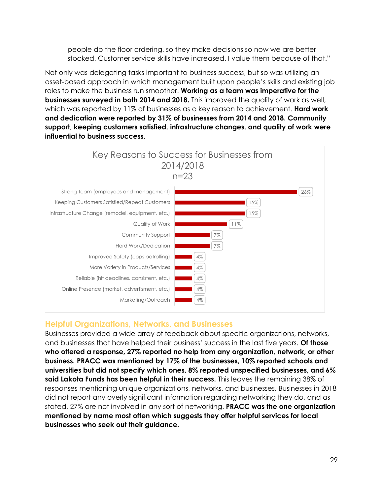people do the floor ordering, so they make decisions so now we are better stocked. Customer service skills have increased. I value them because of that."

Not only was delegating tasks important to business success, but so was utilizing an asset-based approach in which management built upon people's skills and existing job roles to make the business run smoother. **Working as a team was imperative for the businesses surveyed in both 2014 and 2018.** This improved the quality of work as well, which was reported by 11% of businesses as a key reason to achievement. **Hard work and dedication were reported by 31% of businesses from 2014 and 2018. Community support, keeping customers satisfied, infrastructure changes, and quality of work were influential to business success**.



#### **Helpful Organizations, Networks, and Businesses**

Businesses provided a wide array of feedback about specific organizations, networks, and businesses that have helped their business' success in the last five years. **Of those who offered a response, 27% reported no help from any organization, network, or other business. PRACC was mentioned by 17% of the businesses, 10% reported schools and universities but did not specify which ones, 8% reported unspecified businesses, and 6% said Lakota Funds has been helpful in their success.** This leaves the remaining 38% of responses mentioning unique organizations, networks, and businesses. Businesses in 2018 did not report any overly significant information regarding networking they do, and as stated, 27% are not involved in any sort of networking. **PRACC was the one organization mentioned by name most often which suggests they offer helpful services for local businesses who seek out their guidance.**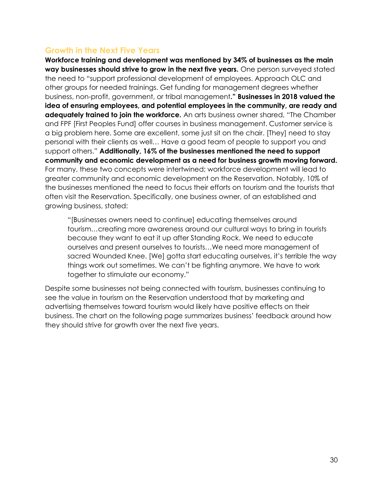#### **Growth in the Next Five Years**

**Workforce training and development was mentioned by 34% of businesses as the main way businesses should strive to grow in the next five years.** One person surveyed stated the need to "support professional development of employees. Approach OLC and other groups for needed trainings. Get funding for management degrees whether business, non-profit, government, or tribal management**." Businesses in 2018 valued the idea of ensuring employees, and potential employees in the community, are ready and adequately trained to join the workforce.** An arts business owner shared, "The Chamber and FPF [First Peoples Fund] offer courses in business management. Customer service is a big problem here. Some are excellent, some just sit on the chair. [They] need to stay personal with their clients as well… Have a good team of people to support you and support others." **Additionally, 16% of the businesses mentioned the need to support community and economic development as a need for business growth moving forward.** For many, these two concepts were intertwined; workforce development will lead to greater community and economic development on the Reservation. Notably, 10% of the businesses mentioned the need to focus their efforts on tourism and the tourists that often visit the Reservation. Specifically, one business owner, of an established and growing business, stated:

"[Businesses owners need to continue] educating themselves around tourism…creating more awareness around our cultural ways to bring in tourists because they want to eat it up after Standing Rock. We need to educate ourselves and present ourselves to tourists…We need more management of sacred Wounded Knee. [We] gotta start educating ourselves, it's terrible the way things work out sometimes. We can't be fighting anymore. We have to work together to stimulate our economy."

Despite some businesses not being connected with tourism, businesses continuing to see the value in tourism on the Reservation understood that by marketing and advertising themselves toward tourism would likely have positive effects on their business. The chart on the following page summarizes business' feedback around how they should strive for growth over the next five years.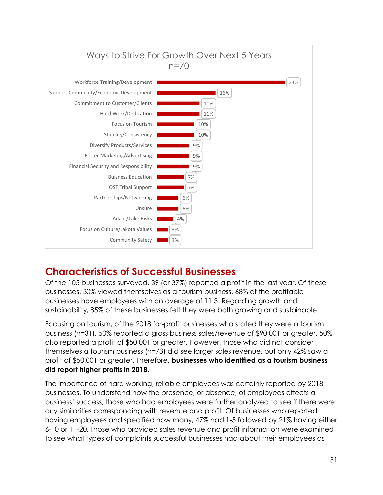

## **Characteristics of Successful Businesses**

Of the 105 businesses surveyed, 39 (or 37%) reported a profit in the last year. Of these businesses, 30% viewed themselves as a tourism business. 68% of the profitable businesses have employees with an average of 11.3. Regarding growth and sustainability, 85% of these businesses felt they were both growing and sustainable.

Focusing on tourism, of the 2018 for-profit businesses who stated they were a tourism business (n=31), 50% reported a gross business sales/revenue of \$90,001 or greater. 50% also reported a profit of \$50,001 or greater. However, those who did not consider themselves a tourism business (n=73) did see larger sales revenue, but only 42% saw a profit of \$50,001 or greater. Therefore**, businesses who identified as a tourism business did report higher profits in 2018.** 

The importance of hard working, reliable employees was certainly reported by 2018 businesses. To understand how the presence, or absence, of employees effects a business' success, those who had employees were further analyzed to see if there were any similarities corresponding with revenue and profit. Of businesses who reported having employees and specified how many, 47% had 1-5 followed by 21% having either 6-10 or 11-20. Those who provided sales revenue and profit information were examined to see what types of complaints successful businesses had about their employees as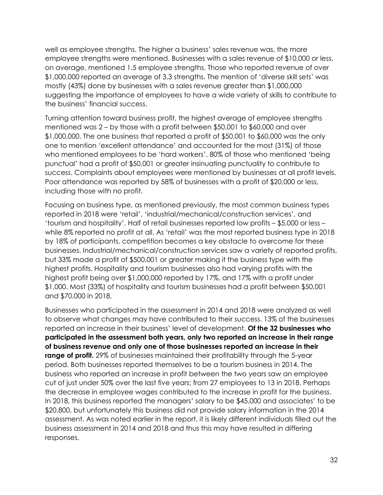well as employee strengths. The higher a business' sales revenue was, the more employee strengths were mentioned. Businesses with a sales revenue of \$10,000 or less, on average, mentioned 1.5 employee strengths. Those who reported revenue of over \$1,000,000 reported an average of 3.3 strengths. The mention of 'diverse skill sets' was mostly (43%) done by businesses with a sales revenue greater than \$1,000,000 suggesting the importance of employees to have a wide variety of skills to contribute to the business' financial success.

Turning attention toward business profit, the highest average of employee strengths mentioned was 2 – by those with a profit between \$50,001 to \$60,000 and over \$1,000,000. The one business that reported a profit of \$50,001 to \$60,000 was the only one to mention 'excellent attendance' and accounted for the most (31%) of those who mentioned employees to be 'hard workers'. 80% of those who mentioned 'being punctual' had a profit of \$50,001 or greater insinuating punctuality to contribute to success. Complaints about employees were mentioned by businesses at all profit levels. Poor attendance was reported by 58% of businesses with a profit of \$20,000 or less, including those with no profit.

Focusing on business type, as mentioned previously, the most common business types reported in 2018 were 'retail', 'industrial/mechanical/construction services', and 'tourism and hospitality'. Half of retail businesses reported low profits – \$5,000 or less – while 8% reported no profit at all. As 'retail' was the most reported business type in 2018 by 18% of participants, competition becomes a key obstacle to overcome for these businesses. Industrial/mechanical/construction services saw a variety of reported profits, but 33% made a profit of \$500,001 or greater making it the business type with the highest profits. Hospitality and tourism businesses also had varying profits with the highest profit being over \$1,000,000 reported by 17%, and 17% with a profit under \$1,000. Most (33%) of hospitality and tourism businesses had a profit between \$50,001 and \$70,000 in 2018.

Businesses who participated in the assessment in 2014 and 2018 were analyzed as well to observe what changes may have contributed to their success. 13% of the businesses reported an increase in their business' level of development. **Of the 32 businesses who participated in the assessment both years, only two reported an increase in their range of business revenue and only one of those businesses reported an increase in their range of profit.** 29% of businesses maintained their profitability through the 5-year period. Both businesses reported themselves to be a tourism business in 2014. The business who reported an increase in profit between the two years saw an employee cut of just under 50% over the last five years; from 27 employees to 13 in 2018. Perhaps the decrease in employee wages contributed to the increase in profit for the business. In 2018, this business reported the managers' salary to be \$45,000 and associates' to be \$20,800, but unfortunately this business did not provide salary information in the 2014 assessment. As was noted earlier in the report, it is likely different individuals filled out the business assessment in 2014 and 2018 and thus this may have resulted in differing responses.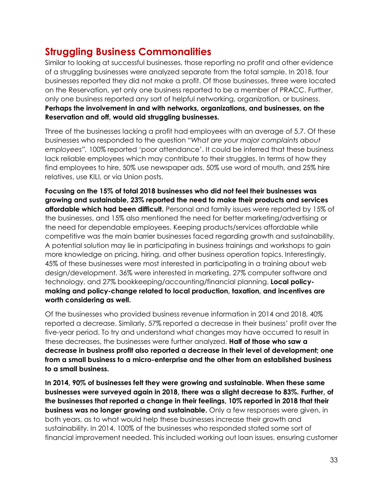#### **Struggling Business Commonalities**

Similar to looking at successful businesses, those reporting no profit and other evidence of a struggling businesses were analyzed separate from the total sample. In 2018, four businesses reported they did not make a profit. Of those businesses, three were located on the Reservation, yet only one business reported to be a member of PRACC. Further, only one business reported any sort of helpful networking, organization, or business. **Perhaps the involvement in and with networks, organizations, and businesses, on the Reservation and off, would aid struggling businesses.**

Three of the businesses lacking a profit had employees with an average of 5.7. Of these businesses who responded to the question "*What are your major complaints about employees",* 100% reported 'poor attendance'. It could be inferred that these business lack reliable employees which may contribute to their struggles. In terms of how they find employees to hire, 50% use newspaper ads, 50% use word of mouth, and 25% hire relatives, use KILI, or via Union posts.

**Focusing on the 15% of total 2018 businesses who did not feel their businesses was growing and sustainable, 23% reported the need to make their products and services affordable which had been difficult.** Personal and family issues were reported by 15% of the businesses, and 15% also mentioned the need for better marketing/advertising or the need for dependable employees. Keeping products/services affordable while competitive was the main barrier businesses faced regarding growth and sustainability. A potential solution may lie in participating in business trainings and workshops to gain more knowledge on pricing, hiring, and other business operation topics. Interestingly, 45% of these businesses were most interested in participating in a training about web design/development. 36% were interested in marketing, 27% computer software and technology, and 27% bookkeeping/accounting/financial planning. **Local policymaking and policy-change related to local production, taxation, and incentives are worth considering as well.**

Of the businesses who provided business revenue information in 2014 and 2018, 40% reported a decrease. Similarly, 57% reported a decrease in their business' profit over the five-year period. To try and understand what changes may have occurred to result in these decreases, the businesses were further analyzed. **Half of those who saw a decrease in business profit also reported a decrease in their level of development; one from a small business to a micro-enterprise and the other from an established business to a small business.** 

**In 2014, 90% of businesses felt they were growing and sustainable. When these same businesses were surveyed again in 2018, there was a slight decrease to 83%. Further, of the businesses that reported a change in their feelings, 10% reported in 2018 that their business was no longer growing and sustainable.** Only a few responses were given, in both years, as to what would help these businesses increase their growth and sustainability. In 2014, 100% of the businesses who responded stated some sort of financial improvement needed. This included working out loan issues, ensuring customer